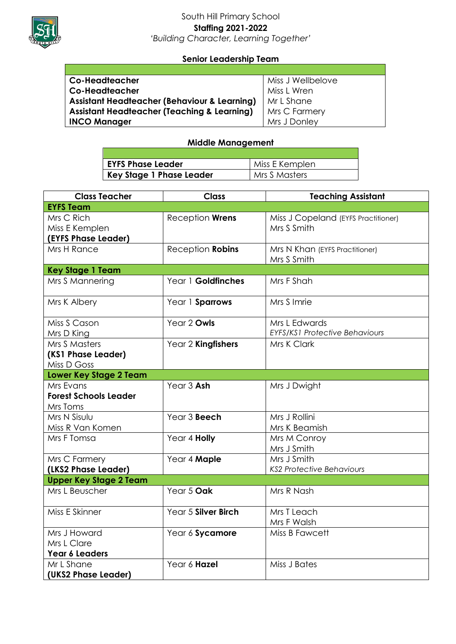

## South Hill Primary School **Staffing 2021-2022** *'Building Character, Learning Together'*

## **Senior Leadership Team**

| <b>Co-Headteacher</b>                                   | Miss J Wellbelove |
|---------------------------------------------------------|-------------------|
| Co-Headteacher                                          | Miss L Wren       |
| <b>Assistant Headteacher (Behaviour &amp; Learning)</b> | Mr L Shane        |
| <b>Assistant Headteacher (Teaching &amp; Learning)</b>  | Mrs C Farmery     |
| <b>INCO Manager</b>                                     | Mrs J Donley      |

## **Middle Management**

| <b>EYFS Phase Leader</b> | Miss E Kemplen  |
|--------------------------|-----------------|
| Key Stage 1 Phase Leader | I Mrs S Masters |

| <b>Class Teacher</b>          | <b>Class</b>        | <b>Teaching Assistant</b>             |
|-------------------------------|---------------------|---------------------------------------|
| <b>EYFS Team</b>              |                     |                                       |
| Mrs C Rich                    | Reception Wrens     | Miss J Copeland (EYFS Practitioner)   |
| Miss E Kemplen                |                     | Mrs S Smith                           |
| (EYFS Phase Leader)           |                     |                                       |
| Mrs H Rance                   | Reception Robins    | Mrs N Khan (EYFS Practitioner)        |
|                               |                     | Mrs S Smith                           |
| <b>Key Stage 1 Team</b>       |                     |                                       |
| Mrs S Mannering               | Year 1 Goldfinches  | Mrs F Shah                            |
| Mrs K Albery                  | Year 1 Sparrows     | Mrs S Imrie                           |
|                               |                     |                                       |
| Miss S Cason                  | Year 2 Owls         | Mrs L Edwards                         |
| Mrs D King                    |                     | <b>EYFS/KS1 Protective Behaviours</b> |
| Mrs S Masters                 | Year 2 Kingfishers  | Mrs K Clark                           |
| (KS1 Phase Leader)            |                     |                                       |
| Miss D Goss                   |                     |                                       |
| <b>Lower Key Stage 2 Team</b> |                     |                                       |
| Mrs Evans                     | Year 3 Ash          | Mrs J Dwight                          |
| <b>Forest Schools Leader</b>  |                     |                                       |
| Mrs Toms                      |                     |                                       |
| Mrs N Sisulu                  | Year 3 Beech        | Mrs J Rollini                         |
| Miss R Van Komen              |                     | Mrs K Beamish                         |
| Mrs F Tomsa                   | Year 4 Holly        | Mrs M Conroy                          |
|                               |                     | Mrs J Smith                           |
| Mrs C Farmery                 | Year 4 Maple        | Mrs J Smith                           |
| (LKS2 Phase Leader)           |                     | <b>KS2 Protective Behaviours</b>      |
| <b>Upper Key Stage 2 Team</b> |                     |                                       |
| Mrs L Beuscher                | Year 5 Oak          | Mrs R Nash                            |
| Miss E Skinner                | Year 5 Silver Birch | Mrs T Leach                           |
|                               |                     | Mrs F Walsh                           |
| Mrs J Howard                  | Year 6 Sycamore     | Miss B Fawcett                        |
| Mrs L Clare                   |                     |                                       |
| Year 6 Leaders                |                     |                                       |
| Mr L Shane                    | Year 6 Hazel        | Miss J Bates                          |
| (UKS2 Phase Leader)           |                     |                                       |